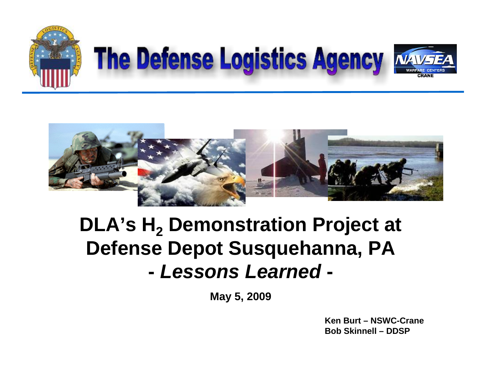



### **DLA's H<sub>2</sub> Demonstration Project at Defense Depot Susquehanna, PA -** *Lessons Learned* **-**

**May 5, 2009**

**Ken Burt – NSWC-CraneBob Skinnell – DDSP**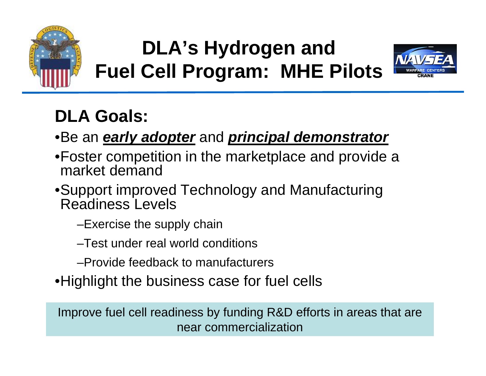

# **DLA's Hydrogen and Fuel Cell Program: MHE Pilots**



### **DLA Goals:**

#### •Be an *early adopter* and *principal demonstrator*

- •Foster competition in the marketplace and provide a market demand
- •Support improved Technology and Manufacturing Readiness Levels
	- –Exercise the supply chain
	- –Test under real world conditions
	- –Provide feedback to manufacturers
- •Highlight the business case for fuel cells

Improve fuel cell readiness by funding R&D efforts in areas that are near commercialization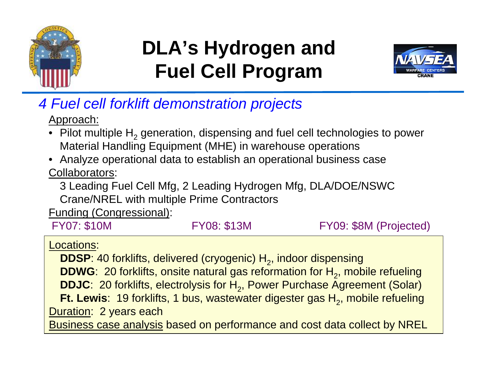<span id="page-2-0"></span>

## **DLA's Hydrogen and Fuel Cell Program**



#### *4 Fuel cell forklift demonstration projects*

Approach:

- Pilot multiple  $H<sub>2</sub>$  generation, dispensing and fuel cell technologies to power Material Handling Equipment (MHE) in warehouse operations
- Analyze operational data to establish an operational business case Collaborators:

3 Leading Fuel Cell Mfg, 2 Leading Hydrogen Mfg, DLA/DOE/NSWC Crane/NREL with multiple Prime Contractors

Funding (Congressional):

FY07: \$10M FY08: \$13M FY09: \$8M (Projected)

Locations:

**DDSP**: 40 forklifts, delivered (cryogenic) H<sub>2</sub>, indoor dispensing **DDWG**: 20 forklifts, onsite natural gas reformation for H<sub>2</sub>, mobile refueling **DDJC:** 20 forklifts, electrolysis for H<sub>2</sub>, Power Purchase Agreement (Solar) **Ft. Lewis**: 19 forklifts, 1 bus, wastewater digester gas H<sub>2</sub>, mobile refueling **Duration: 2 years each** 

Business case analysis based on performance and cost data collect by NREL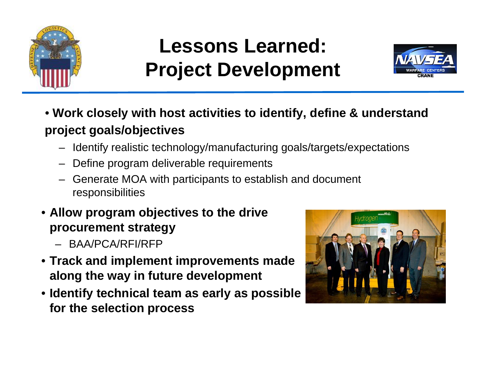

### **Lessons Learned: Project Development**



- **Work closely with host activities to identify, define & understand project goals/objectives**
	- Identify realistic technology/manufacturing goals/targets/expectations
	- Define program deliverable requirements
	- Generate MOA with participants to establish and document responsibilities
- **Allow program objectives to the drive procurement strategy**
	- BAA/PCA/RFI/RFP
- **Track and implement improvements made along the way in future development**
- **Identify technical team as early as possible for the selection process**

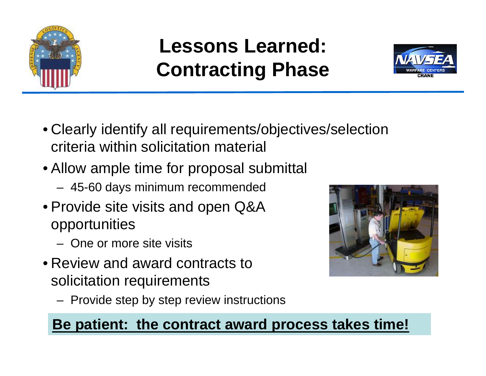

## **Lessons Learned: Contracting Phase**



- Clearly identify all requirements/objectives/selection criteria within solicitation material
- Allow ample time for proposal submittal
	- 45-60 days minimum recommended
- Provide site visits and open Q&A opportunities
	- One or more site visits
- Review and award contracts to solicitation requirements
	- Provide step by step review instructions

#### **Be patient: the contract award process takes time!**

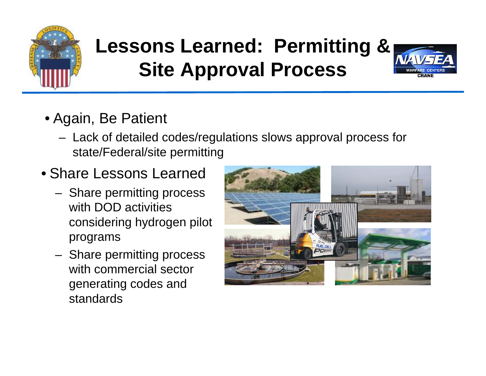

# **Lessons Learned: Permitting & Site Approval Process**



- Again, Be Patient
	- Lack of detailed codes/regulations slows approval process for state/Federal/site permitting
- Share Lessons Learned
	- Share permitting process with DOD activities considering hydrogen pilot programs
	- Share permitting process with commercial sector generating codes and standards

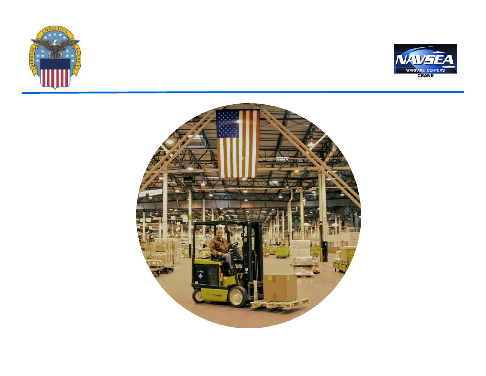



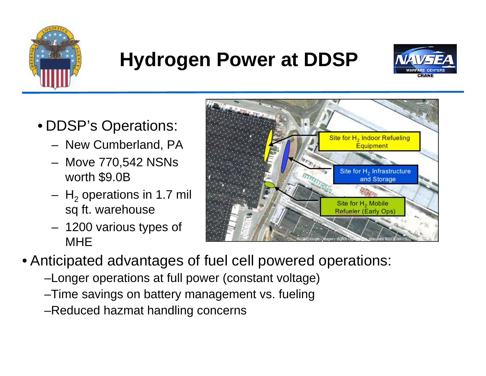

# **Hydrogen Power at DDSP**



- DDSP's Operations:
	- New Cumberland, PA
	- Move 770,542 NSNs worth \$9.0B
	- $-$  H<sub>2</sub> operations in 1.7 mil sq ft. warehouse
	- 1200 various types of MHE



- Anticipated advantages of fuel cell powered operations:
	- Longer operations at full power (constant voltage)
	- Time savings on battery management vs. fueling
	- Reduced hazmat handling concerns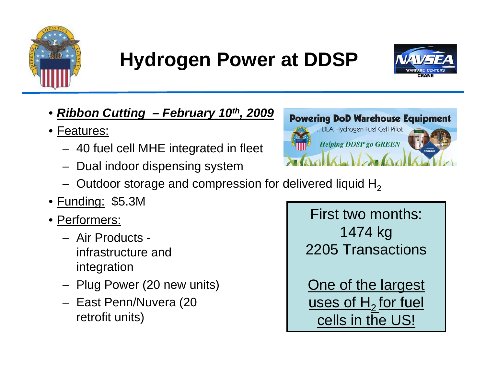

# **Hydrogen Power at DDSP**



- *Ribbon Cutting February 10th, 2009*
- Features:
	- 40 fuel cell MHE integrated in fleet
	- Dual indoor dispensing system



- Outdoor storage and compression for delivered liquid  $H_2$
- Funding: \$5.3M
- Performers:
	- Air Products infrastructure and integration
	- Plug Power (20 new units)
	- East Penn/Nuvera (20 retrofit units)

First two months: 1474 kg 2205 Transactions

One of the largest uses of  $H_2$  for fuel cells in the US!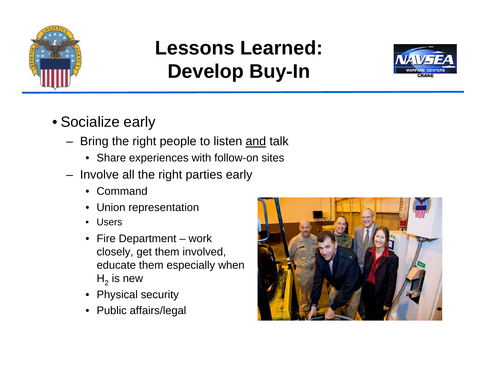

## **Lessons Learned: Develop Buy-In**



#### • Socialize early

- Bring the right people to listen and talk
	- Share experiences with follow-on sites
- Involve all the right parties early
	- Command
	- Union representation
	- Users
	- Fire Department work closely, get them involved, educate them especially when  $H_2$  is new
	- Physical security
	- Public affairs/legal

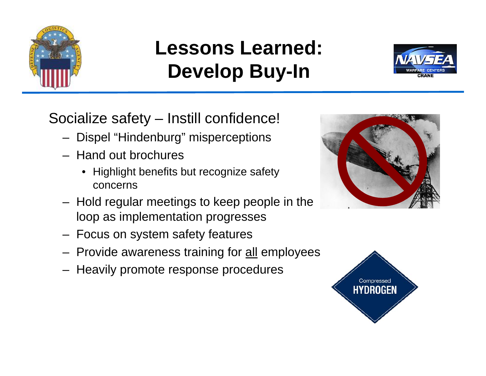

## **Lessons Learned: Develop Buy-In**



Socialize safety – Instill confidence!

- Dispel "Hindenburg" misperceptions
- Hand out brochures
	- Highlight benefits but recognize safety concerns
- Hold regular meetings to keep people in the loop as implementation progresses
- Focus on system safety features
- Provide awareness training for all employees
- Heavily promote response procedures



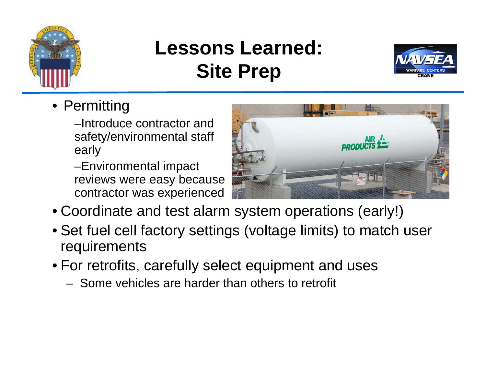

# **Lessons Learned: Site Prep**



• Permitting

–Introduce contractor and safety/environmental staff early

–Environmental impact reviews were easy because contractor was experienced



- Coordinate and test alarm system operations (early!)
- Set fuel cell factory settings (voltage limits) to match user requirements
- For retrofits, carefully select equipment and uses
	- Some vehicles are harder than others to retrofit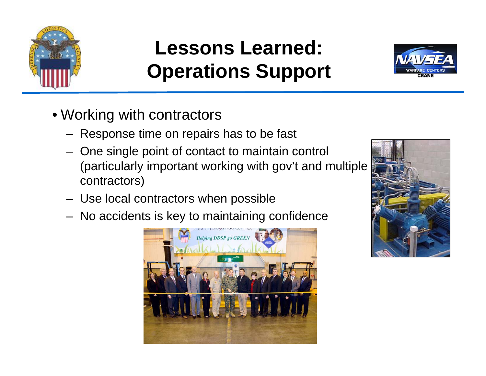

## **Lessons Learned: Operations Support**



- Working with contractors
	- Response time on repairs has to be fast
	- One single point of contact to maintain control (particularly important working with gov't and multiple contractors)
	- Use local contractors when possible
	- No accidents is key to maintaining confidence



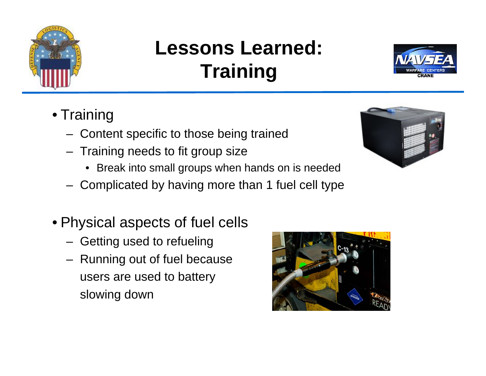

# **Lessons Learned: Training**



- Training
	- Content specific to those being trained
	- Training needs to fit group size
		- Break into small groups when hands on is needed
	- Complicated by having more than 1 fuel cell type
- Physical aspects of fuel cells
	- Getting used to refueling
	- Running out of fuel because users are used to battery slowing down



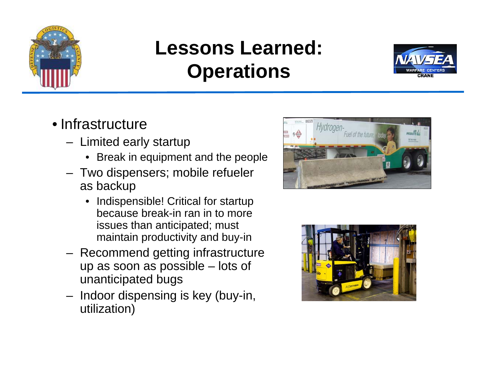

## **Lessons Learned: Operations**



- Infrastructure
	- Limited early startup
		- Break in equipment and the people
	- Two dispensers; mobile refueler as backup
		- Indispensible! Critical for startup because break-in ran in to more issues than anticipated; must maintain productivity and buy-in
	- Recommend getting infrastructure up as soon as possible – lots of unanticipated bugs
	- Indoor dispensing is key (buy-in, utilization)



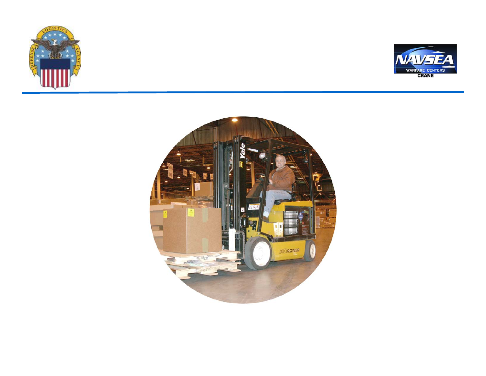



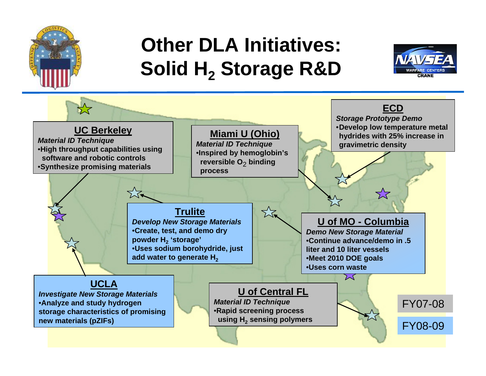

### **Other DLA Initiatives: Solid H<sub>2</sub> Storage R&D**



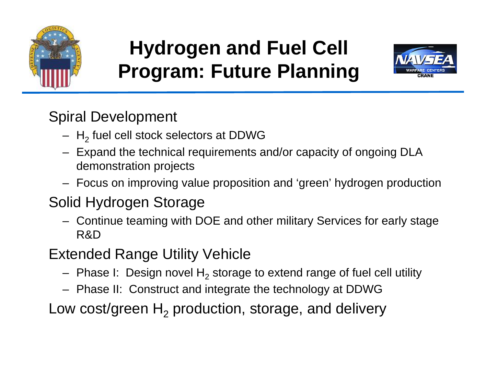

# **Hydrogen and Fuel Cell Program: Future Planning**



#### Spiral Development

- $\,$  H $_{2}$  fuel cell stock selectors at DDWG
- Expand the technical requirements and/or capacity of ongoing DLA demonstration projects
- Focus on improving value proposition and 'green' hydrogen production

#### Solid Hydrogen Storage

– Continue teaming with DOE and other military Services for early stage R&D

#### Extended Range Utility Vehicle

- Phase I: Design novel  $H_2$  storage to extend range of fuel cell utility
- Phase II: Construct and integrate the technology at DDWG

Low cost/green  $H<sub>2</sub>$  production, storage, and delivery